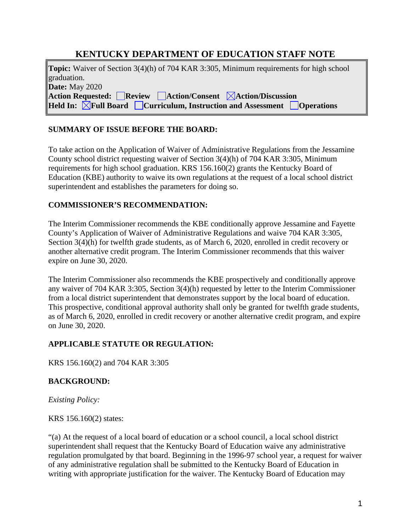# **KENTUCKY DEPARTMENT OF EDUCATION STAFF NOTE**

**Topic:** Waiver of Section 3(4)(h) of 704 KAR 3:305, Minimum requirements for high school graduation. **Date:** May 2020 **Action Requested: Review Action/Consent Action/Discussion Held In:**  $\boxed{\times}$ **Full Board**  $\boxed{\phantom{\times}}$  Curriculum, Instruction and Assessment  $\boxed{\phantom{\times}}$  Operations

### **SUMMARY OF ISSUE BEFORE THE BOARD:**

To take action on the Application of Waiver of Administrative Regulations from the Jessamine County school district requesting waiver of Section 3(4)(h) of 704 KAR 3:305, Minimum requirements for high school graduation. KRS 156.160(2) grants the Kentucky Board of Education (KBE) authority to waive its own regulations at the request of a local school district superintendent and establishes the parameters for doing so.

### **COMMISSIONER'S RECOMMENDATION:**

The Interim Commissioner recommends the KBE conditionally approve Jessamine and Fayette County's Application of Waiver of Administrative Regulations and waive 704 KAR 3:305, Section 3(4)(h) for twelfth grade students, as of March 6, 2020, enrolled in credit recovery or another alternative credit program. The Interim Commissioner recommends that this waiver expire on June 30, 2020.

The Interim Commissioner also recommends the KBE prospectively and conditionally approve any waiver of 704 KAR 3:305, Section 3(4)(h) requested by letter to the Interim Commissioner from a local district superintendent that demonstrates support by the local board of education. This prospective, conditional approval authority shall only be granted for twelfth grade students, as of March 6, 2020, enrolled in credit recovery or another alternative credit program, and expire on June 30, 2020.

### **APPLICABLE STATUTE OR REGULATION:**

KRS 156.160(2) and 704 KAR 3:305

## **BACKGROUND:**

*Existing Policy:*

KRS 156.160(2) states:

"(a) At the request of a local board of education or a school council, a local school district superintendent shall request that the Kentucky Board of Education waive any administrative regulation promulgated by that board. Beginning in the 1996-97 school year, a request for waiver of any administrative regulation shall be submitted to the Kentucky Board of Education in writing with appropriate justification for the waiver. The Kentucky Board of Education may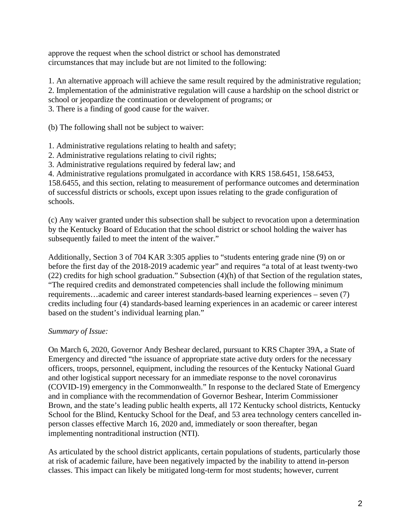approve the request when the school district or school has demonstrated circumstances that may include but are not limited to the following:

1. An alternative approach will achieve the same result required by the administrative regulation; 2. Implementation of the administrative regulation will cause a hardship on the school district or

school or jeopardize the continuation or development of programs; or

3. There is a finding of good cause for the waiver.

(b) The following shall not be subject to waiver:

1. Administrative regulations relating to health and safety;

2. Administrative regulations relating to civil rights;

3. Administrative regulations required by federal law; and

4. Administrative regulations promulgated in accordance with KRS 158.6451, 158.6453,

158.6455, and this section, relating to measurement of performance outcomes and determination of successful districts or schools, except upon issues relating to the grade configuration of schools.

(c) Any waiver granted under this subsection shall be subject to revocation upon a determination by the Kentucky Board of Education that the school district or school holding the waiver has subsequently failed to meet the intent of the waiver."

Additionally, Section 3 of 704 KAR 3:305 applies to "students entering grade nine (9) on or before the first day of the 2018-2019 academic year" and requires "a total of at least twenty-two (22) credits for high school graduation." Subsection (4)(h) of that Section of the regulation states, "The required credits and demonstrated competencies shall include the following minimum requirements…academic and career interest standards-based learning experiences – seven (7) credits including four (4) standards-based learning experiences in an academic or career interest based on the student's individual learning plan."

### *Summary of Issue:*

On March 6, 2020, Governor Andy Beshear declared, pursuant to KRS Chapter 39A, a State of Emergency and directed "the issuance of appropriate state active duty orders for the necessary officers, troops, personnel, equipment, including the resources of the Kentucky National Guard and other logistical support necessary for an immediate response to the novel coronavirus (COVID-19) emergency in the Commonwealth." In response to the declared State of Emergency and in compliance with the recommendation of Governor Beshear, Interim Commissioner Brown, and the state's leading public health experts, all 172 Kentucky school districts, Kentucky School for the Blind, Kentucky School for the Deaf, and 53 area technology centers cancelled inperson classes effective March 16, 2020 and, immediately or soon thereafter, began implementing nontraditional instruction (NTI).

As articulated by the school district applicants, certain populations of students, particularly those at risk of academic failure, have been negatively impacted by the inability to attend in-person classes. This impact can likely be mitigated long-term for most students; however, current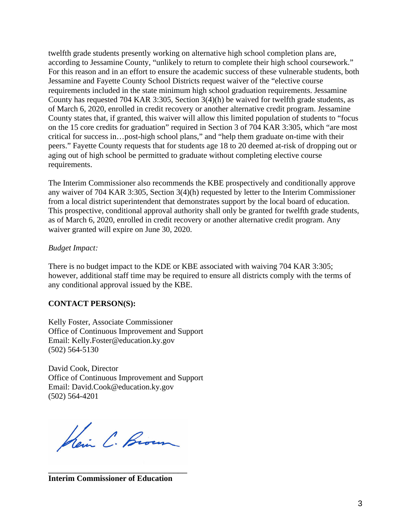twelfth grade students presently working on alternative high school completion plans are, according to Jessamine County, "unlikely to return to complete their high school coursework." For this reason and in an effort to ensure the academic success of these vulnerable students, both Jessamine and Fayette County School Districts request waiver of the "elective course requirements included in the state minimum high school graduation requirements. Jessamine County has requested 704 KAR 3:305, Section 3(4)(h) be waived for twelfth grade students, as of March 6, 2020, enrolled in credit recovery or another alternative credit program. Jessamine County states that, if granted, this waiver will allow this limited population of students to "focus on the 15 core credits for graduation" required in Section 3 of 704 KAR 3:305, which "are most critical for success in…post-high school plans," and "help them graduate on-time with their peers." Fayette County requests that for students age 18 to 20 deemed at-risk of dropping out or aging out of high school be permitted to graduate without completing elective course requirements.

The Interim Commissioner also recommends the KBE prospectively and conditionally approve any waiver of 704 KAR 3:305, Section 3(4)(h) requested by letter to the Interim Commissioner from a local district superintendent that demonstrates support by the local board of education. This prospective, conditional approval authority shall only be granted for twelfth grade students, as of March 6, 2020, enrolled in credit recovery or another alternative credit program. Any waiver granted will expire on June 30, 2020.

#### *Budget Impact:*

There is no budget impact to the KDE or KBE associated with waiving 704 KAR 3:305; however, additional staff time may be required to ensure all districts comply with the terms of any conditional approval issued by the KBE.

### **CONTACT PERSON(S):**

Kelly Foster, Associate Commissioner Office of Continuous Improvement and Support Email: Kelly.Foster@education.ky.gov (502) 564-5130

David Cook, Director Office of Continuous Improvement and Support Email: David.Cook@education.ky.gov (502) 564-4201

Kein C. Brown

\_\_\_\_\_\_\_\_\_\_\_\_\_\_\_\_\_\_\_\_\_\_\_\_\_\_\_\_\_\_\_ **Interim Commissioner of Education**